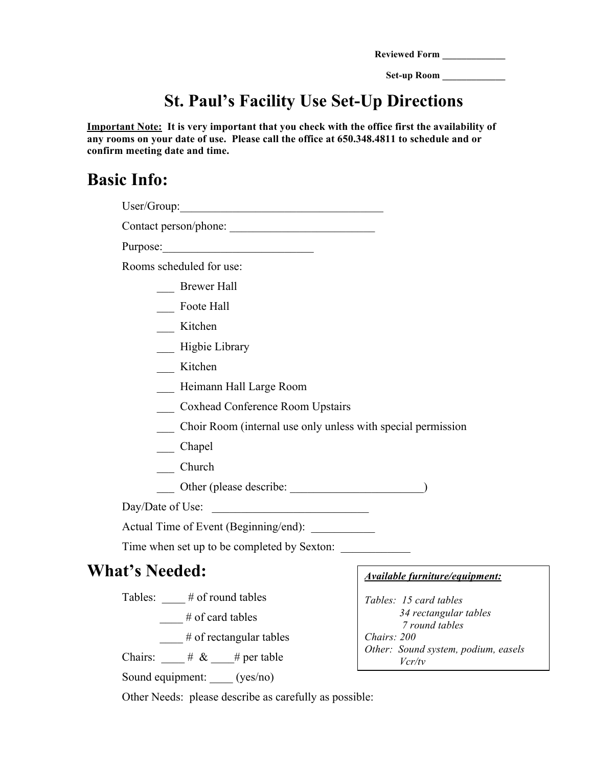| Reviewed Form |  |
|---------------|--|
|               |  |

**Set-up Room \_\_\_\_\_\_\_\_\_\_\_\_\_**

## **St. Paul's Facility Use Set-Up Directions**

**Important Note: It is very important that you check with the office first the availability of any rooms on your date of use. Please call the office at 650.348.4811 to schedule and or confirm meeting date and time.** 

## **Basic Info:**

| User/Group:                                                                                                                                                                                                                                                                                                                                                                                                                         |                                               |
|-------------------------------------------------------------------------------------------------------------------------------------------------------------------------------------------------------------------------------------------------------------------------------------------------------------------------------------------------------------------------------------------------------------------------------------|-----------------------------------------------|
| Contact person/phone:                                                                                                                                                                                                                                                                                                                                                                                                               |                                               |
|                                                                                                                                                                                                                                                                                                                                                                                                                                     |                                               |
| Rooms scheduled for use:                                                                                                                                                                                                                                                                                                                                                                                                            |                                               |
| <b>Brewer Hall</b>                                                                                                                                                                                                                                                                                                                                                                                                                  |                                               |
| Foote Hall                                                                                                                                                                                                                                                                                                                                                                                                                          |                                               |
| __ Kitchen                                                                                                                                                                                                                                                                                                                                                                                                                          |                                               |
| Higbie Library                                                                                                                                                                                                                                                                                                                                                                                                                      |                                               |
| Kitchen                                                                                                                                                                                                                                                                                                                                                                                                                             |                                               |
| Heimann Hall Large Room                                                                                                                                                                                                                                                                                                                                                                                                             |                                               |
| <b>Coxhead Conference Room Upstairs</b>                                                                                                                                                                                                                                                                                                                                                                                             |                                               |
| Choir Room (internal use only unless with special permission                                                                                                                                                                                                                                                                                                                                                                        |                                               |
| Chapel                                                                                                                                                                                                                                                                                                                                                                                                                              |                                               |
| $\frac{C}{2}$ Church                                                                                                                                                                                                                                                                                                                                                                                                                |                                               |
|                                                                                                                                                                                                                                                                                                                                                                                                                                     |                                               |
| Day/Date of Use:                                                                                                                                                                                                                                                                                                                                                                                                                    |                                               |
| Actual Time of Event (Beginning/end):                                                                                                                                                                                                                                                                                                                                                                                               |                                               |
| Time when set up to be completed by Sexton:                                                                                                                                                                                                                                                                                                                                                                                         |                                               |
| <b>What's Needed:</b>                                                                                                                                                                                                                                                                                                                                                                                                               | Available furniture/equipment:                |
| Tables: $\_\_\#$ of round tables                                                                                                                                                                                                                                                                                                                                                                                                    | Tables: 15 card tables                        |
| $\equiv$ # of card tables                                                                                                                                                                                                                                                                                                                                                                                                           | 34 rectangular tables<br>7 round tables       |
| $\frac{1}{\sqrt{1 + \frac{1}{\sqrt{1 + \frac{1}{\sqrt{1 + \frac{1}{\sqrt{1 + \frac{1}{\sqrt{1 + \frac{1}{\sqrt{1 + \frac{1}{\sqrt{1 + \frac{1}{\sqrt{1 + \frac{1}{\sqrt{1 + \frac{1}{\sqrt{1 + \frac{1}{\sqrt{1 + \frac{1}{\sqrt{1 + \frac{1}{\sqrt{1 + \frac{1}{\sqrt{1 + \frac{1}{\sqrt{1 + \frac{1}{\sqrt{1 + \frac{1}{\sqrt{1 + \frac{1}{\sqrt{1 + \frac{1}{\sqrt{1 + \frac{1}{\sqrt{1 + \frac{1}{\sqrt{1 + \frac{1}{\sqrt{1 +$ | Chairs: 200                                   |
| Chairs: $\frac{\# \& \quad \#$ per table                                                                                                                                                                                                                                                                                                                                                                                            | Other: Sound system, podium, easels<br>Vcr/tv |

Other Needs: please describe as carefully as possible:

Sound equipment: \_\_\_\_ (yes/no)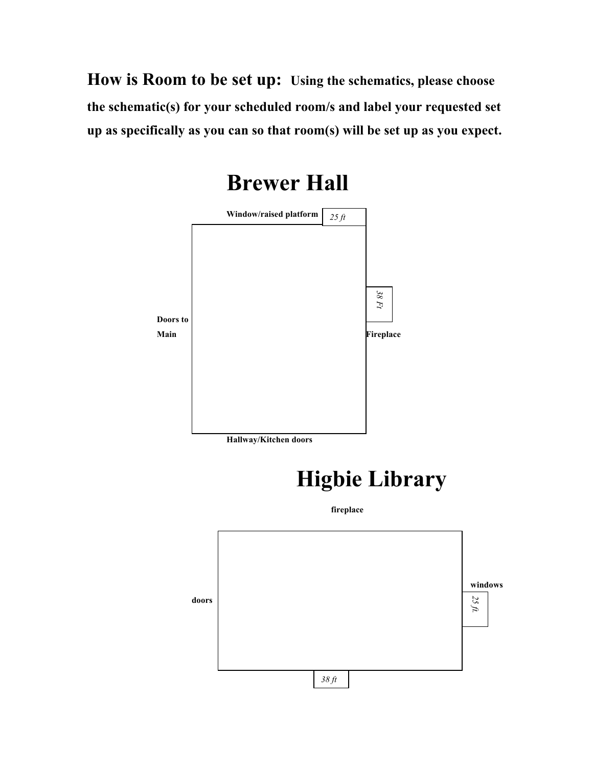**How is Room to be set up: Using the schematics, please choose the schematic(s) for your scheduled room/s and label your requested set up as specifically as you can so that room(s) will be set up as you expect.**